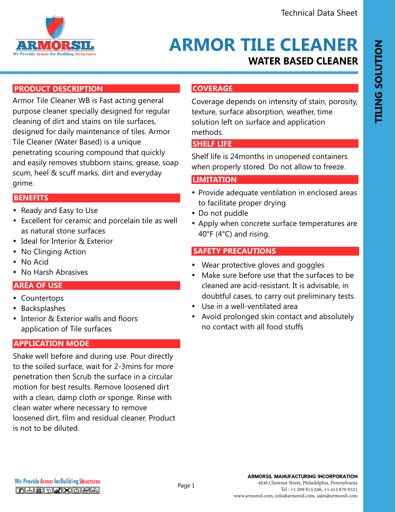

## **WATER BASED CLEANER ARMOR TILE CLEANER**

## **PRODUCT DESCRIPTION**

Armor Tile Cleaner WB is Fast acting general purpose cleaner specially designed for regular cleaning of dirt and stains on tile surfaces, designed for daily maintenance of tiles. Armor Tile Cleaner (Water Based) is a unique penetrating scouring compound that quickly and easily removes stubborn stains, grease, soap scum, heel & scuff marks, dirt and everyday grime.

#### **FEATURES AND BENEFITS BENEFITS**

- Ready and Easy to Use
- Excellent for ceramic and porcelain tile as well as natural stone surfaces
- Ideal for Interior & Exterior
- No Clinging Action
- No Acid
- No Harsh Abrasives

#### **FEATURE AND BENEFITS**

- Countertops
- Backsplashes
- Interior & Exterior walls and floors application of Tile surfaces

## **APPLICATION MODE**

Shake well before and during use. Pour directly to the soiled surface, wait for 2-3mins for more penetration then Scrub the surface in a circular motion for best results. Remove loosened dirt with a clean, damp cloth or sponge. Rinse with clean water where necessary to remove loosened dirt, film and residual cleaner. Product is not to be diluted.

## **COVERAGE**

Coverage depends on intensity of stain, porosity, texture, surface absorption, weather, time solution left on surface and application methods.

## **SHELF LIFE**

Shelf life is 24months in unopened containers when properly stored. Do not allow to freeze.

## **LIMITATION**

- Provide adequate ventilation in enclosed areas to facilitate proper drying
- Do not puddle

Page 1

• Apply when concrete surface temperatures are 40°F (4°C) and rising.

#### **SAFETY PRECAUTIONS**

- Wear protective gloves and goggles
- Make sure before use that the surfaces to be cleaned are acid-resistant. It is advisable, in doubtful cases, to carry out preliminary tests.
- Use in a well-ventilated area
- Avoid prolonged skin contact and absolutely no contact with all food stuffs